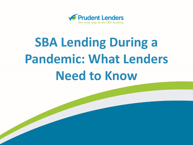

# **SBA Lending During a Pandemic: What Lenders Need to Know**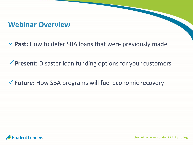#### **Webinar Overview**

✓**Past:** How to defer SBA loans that were previously made

✓**Present:** Disaster loan funding options for your customers

✓**Future:** How SBA programs will fuel economic recovery

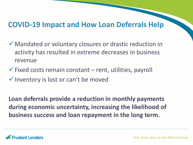### **COVID-19 Impact and How Loan Deferrals Help**

- ✓Mandated or voluntary closures or drastic reduction in activity has resulted in extreme decreases in business revenue
- $\checkmark$  Fixed costs remain constant rent, utilities, payroll ✓Inventory is lost or can't be moved

**Loan deferrals provide a reduction in monthly payments during economic uncertainty, increasing the likelihood of business success and loan repayment in the long term.**

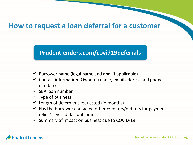#### **How to request a loan deferral for a customer**

#### **Prudentlenders.com/covid19deferrals**

- $\checkmark$  Borrower name (legal name and dba, if applicable)
- $\checkmark$  Contact information (Owner(s) name, email address and phone number)
- $\checkmark$  SBA loan number
- $\checkmark$  Type of business
- $\checkmark$  Length of deferment requested (in months)
- $\checkmark$  Has the borrower contacted other creditors/debtors for payment relief? If yes, detail outcome.
- $\checkmark$  Summary of impact on business due to COVID-19

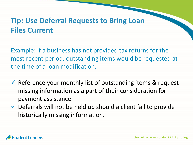# **Tip: Use Deferral Requests to Bring Loan Files Current**

Example: if a business has not provided tax returns for the most recent period, outstanding items would be requested at the time of a loan modification.

- $\checkmark$  Reference your monthly list of outstanding items & request missing information as a part of their consideration for payment assistance.
- $\checkmark$  Deferrals will not be held up should a client fail to provide historically missing information.

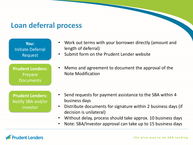### **Loan deferral process**

| You:                                                     | • Work out terms with your borrower directly (amount and                                                                                                                                                                                              |
|----------------------------------------------------------|-------------------------------------------------------------------------------------------------------------------------------------------------------------------------------------------------------------------------------------------------------|
| Initiate Deferral                                        | length of deferral)                                                                                                                                                                                                                                   |
| Request                                                  | • Submit form on the Prudent Lender website                                                                                                                                                                                                           |
| <b>Prudent Lenders:</b>                                  | Memo and agreement to document the approval of the                                                                                                                                                                                                    |
| Prepare                                                  | $\bullet$                                                                                                                                                                                                                                             |
| <b>Documents</b>                                         | <b>Note Modification</b>                                                                                                                                                                                                                              |
| <b>Prudent Lenders:</b><br>Notify SBA and/or<br>investor | • Send requests for payment assistance to the SBA within 4<br>business days<br>• Distribute documents for signature within 2 business days (if<br>decision is unilateral)<br>Without delay, process should take approx. 10 business days<br>$\bullet$ |

• Note: SBA/Investor approval can take up to 15 business days

#### **Prudent Lenders**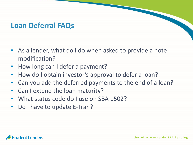# **Loan Deferral FAQs**

- As a lender, what do I do when asked to provide a note modification?
- How long can I defer a payment?
- How do I obtain investor's approval to defer a loan?
- Can you add the deferred payments to the end of a loan?
- Can I extend the loan maturity?
- What status code do I use on SBA 1502?
- Do I have to update E-Tran?

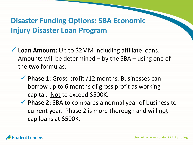# **Disaster Funding Options: SBA Economic Injury Disaster Loan Program**

- ✓ **Loan Amount:** Up to \$2MM including affiliate loans. Amounts will be determined – by the SBA – using one of the two formulas:
	- ✓ **Phase 1:** Gross profit /12 months. Businesses can borrow up to 6 months of gross profit as working capital. Not to exceed \$500K.
	- ✓ **Phase 2:** SBA to compares a normal year of business to current year. Phase 2 is more thorough and will not cap loans at \$500K.

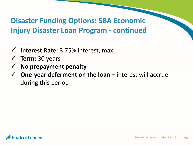**Disaster Funding Options: SBA Economic Injury Disaster Loan Program - continued**

- ✓ **Interest Rate:** 3.75% interest, max
- ✓ **Term:** 30 years
- ✓ **No prepayment penalty**
- ✓ **One-year deferment on the loan –** interest will accrue during this period

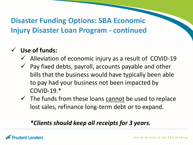# **Disaster Funding Options: SBA Economic Injury Disaster Loan Program - continued**

### ✓ **Use of funds:**

- $\checkmark$  Alleviation of economic injury as a result of COVID-19
- $\checkmark$  Pay fixed debts, payroll, accounts payable and other bills that the business would have typically been able to pay had your business not been impacted by  $COVID-19.*$
- $\checkmark$  The funds from these loans cannot be used to replace lost sales, refinance long-term debt or to expand.

#### *\*Clients should keep all receipts for 3 years.*

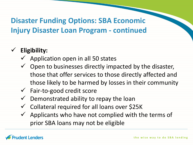# **Disaster Funding Options: SBA Economic Injury Disaster Loan Program - continued**

# ✓ **Eligibility:**

- $\checkmark$  Application open in all 50 states
- $\checkmark$  Open to businesses directly impacted by the disaster, those that offer services to those directly affected and those likely to be harmed by losses in their community
- $\checkmark$  Fair-to-good credit score
- $\checkmark$  Demonstrated ability to repay the loan
- ✓ Collateral required for all loans over \$25K
- $\checkmark$  Applicants who have not complied with the terms of prior SBA loans may not be eligible

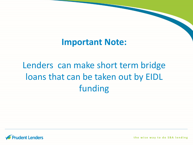# **Important Note:**

# Lenders can make short term bridge loans that can be taken out by EIDL funding

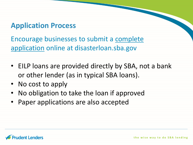# **Application Process**

Encourage businesses to submit a complete application online at disasterloan.sba.gov

- EILP loans are provided directly by SBA, not a bank or other lender (as in typical SBA loans).
- No cost to apply
- No obligation to take the loan if approved
- Paper applications are also accepted

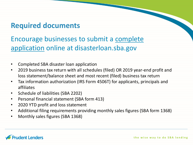# **Required documents**

Encourage businesses to submit a complete application online at disasterloan.sba.gov

- Completed SBA disaster loan application
- 2019 business tax return with all schedules (filed) OR 2019 year-end profit and loss statement/balance sheet and most recent (filed) business tax return
- Tax information authorization (IRS Form 4506T) for applicants, principals and affiliates
- Schedule of liabilities (SBA 2202)
- Personal financial statement (SBA form 413)
- 2020 YTD profit and loss statement
- Additional filing requirements providing monthly sales figures (SBA form 1368)
- Monthly sales figures (SBA 1368)

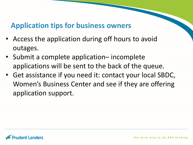# **Application tips for business owners**

- Access the application during off hours to avoid outages.
- Submit a complete application– incomplete applications will be sent to the back of the queue.
- Get assistance if you need it: contact your local SBDC, Women's Business Center and see if they are offering application support.

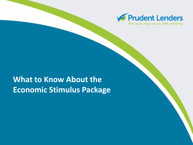

# **What to Know About the Economic Stimulus Package**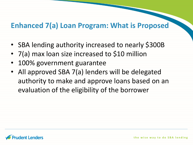# **Enhanced 7(a) Loan Program: What is Proposed**

- SBA lending authority increased to nearly \$300B
- 7(a) max loan size increased to \$10 million
- 100% government guarantee
- All approved SBA 7(a) lenders will be delegated authority to make and approve loans based on an evaluation of the eligibility of the borrower

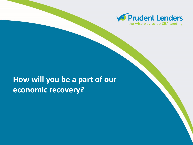

# **How will you be a part of our economic recovery?**